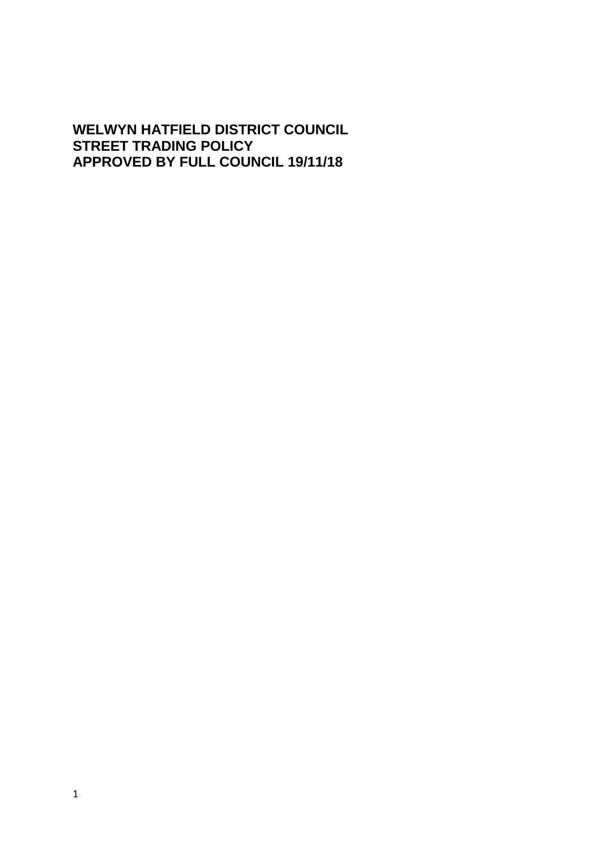## **WELWYN HATFIELD DISTRICT COUNCIL STREET TRADING POLICY APPROVED BY FULL COUNCIL 19/11/18**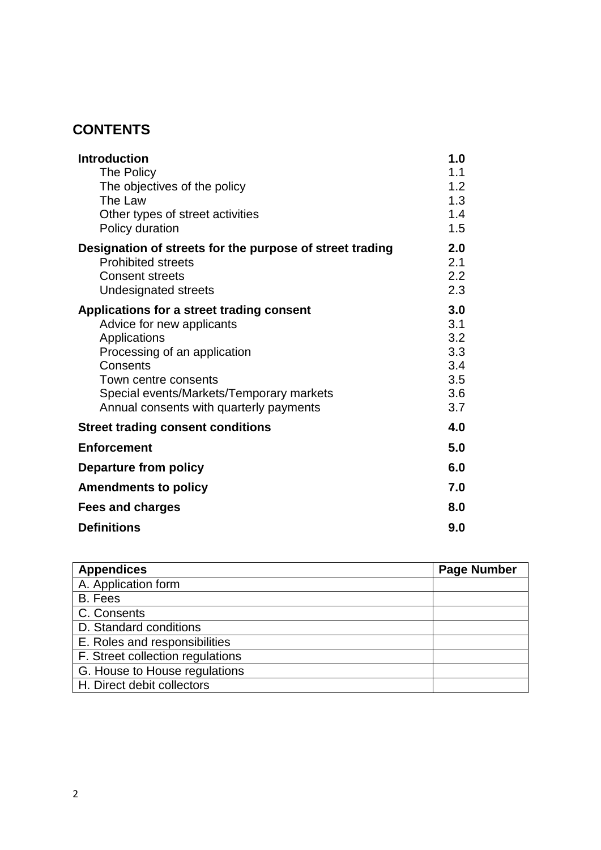# **CONTENTS**

| <b>Introduction</b><br>The Policy<br>The objectives of the policy<br>The Law<br>Other types of street activities<br>Policy duration                                                                                                               | 1.0<br>1.1<br>1.2<br>1.3<br>1.4<br>1.5               |
|---------------------------------------------------------------------------------------------------------------------------------------------------------------------------------------------------------------------------------------------------|------------------------------------------------------|
| Designation of streets for the purpose of street trading<br><b>Prohibited streets</b><br><b>Consent streets</b><br>Undesignated streets                                                                                                           | 2.0<br>2.1<br>2.2<br>2.3                             |
| Applications for a street trading consent<br>Advice for new applicants<br>Applications<br>Processing of an application<br>Consents<br>Town centre consents<br>Special events/Markets/Temporary markets<br>Annual consents with quarterly payments | 3.0<br>3.1<br>3.2<br>3.3<br>3.4<br>3.5<br>3.6<br>3.7 |
| <b>Street trading consent conditions</b>                                                                                                                                                                                                          | 4.0                                                  |
| <b>Enforcement</b>                                                                                                                                                                                                                                | 5.0                                                  |
| <b>Departure from policy</b>                                                                                                                                                                                                                      | 6.0                                                  |
| <b>Amendments to policy</b>                                                                                                                                                                                                                       | 7.0                                                  |
| <b>Fees and charges</b>                                                                                                                                                                                                                           | 8.0                                                  |
| <b>Definitions</b>                                                                                                                                                                                                                                | 9.0                                                  |

| <b>Appendices</b>                | <b>Page Number</b> |
|----------------------------------|--------------------|
| A. Application form              |                    |
| B. Fees                          |                    |
| C. Consents                      |                    |
| D. Standard conditions           |                    |
| E. Roles and responsibilities    |                    |
| F. Street collection regulations |                    |
| G. House to House regulations    |                    |
| H. Direct debit collectors       |                    |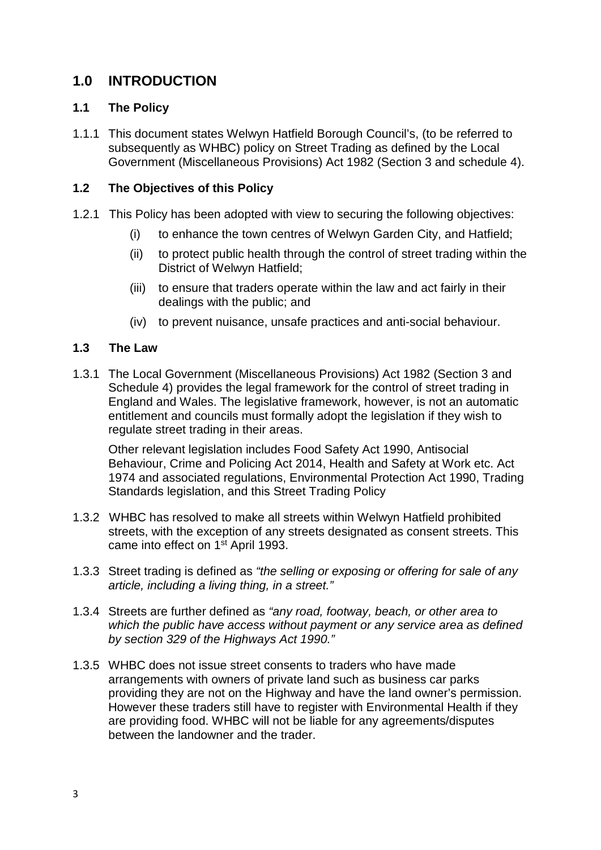# **1.0 INTRODUCTION**

#### **1.1 The Policy**

1.1.1 This document states Welwyn Hatfield Borough Council's, (to be referred to subsequently as WHBC) policy on Street Trading as defined by the Local Government (Miscellaneous Provisions) Act 1982 (Section 3 and schedule 4).

### **1.2 The Objectives of this Policy**

- 1.2.1 This Policy has been adopted with view to securing the following objectives:
	- (i) to enhance the town centres of Welwyn Garden City, and Hatfield;
	- (ii) to protect public health through the control of street trading within the District of Welwyn Hatfield;
	- (iii) to ensure that traders operate within the law and act fairly in their dealings with the public; and
	- (iv) to prevent nuisance, unsafe practices and anti-social behaviour.

#### **1.3 The Law**

1.3.1 The Local Government (Miscellaneous Provisions) Act 1982 (Section 3 and Schedule 4) provides the legal framework for the control of street trading in England and Wales. The legislative framework, however, is not an automatic entitlement and councils must formally adopt the legislation if they wish to regulate street trading in their areas.

Other relevant legislation includes Food Safety Act 1990, Antisocial Behaviour, Crime and Policing Act 2014, Health and Safety at Work etc. Act 1974 and associated regulations, Environmental Protection Act 1990, Trading Standards legislation, and this Street Trading Policy

- 1.3.2 WHBC has resolved to make all streets within Welwyn Hatfield prohibited streets, with the exception of any streets designated as consent streets. This came into effect on 1<sup>st</sup> April 1993.
- 1.3.3 Street trading is defined as *"the selling or exposing or offering for sale of any article, including a living thing, in a street."*
- 1.3.4 Streets are further defined as *"any road, footway, beach, or other area to which the public have access without payment or any service area as defined by section 329 of the Highways Act 1990."*
- 1.3.5 WHBC does not issue street consents to traders who have made arrangements with owners of private land such as business car parks providing they are not on the Highway and have the land owner's permission. However these traders still have to register with Environmental Health if they are providing food. WHBC will not be liable for any agreements/disputes between the landowner and the trader.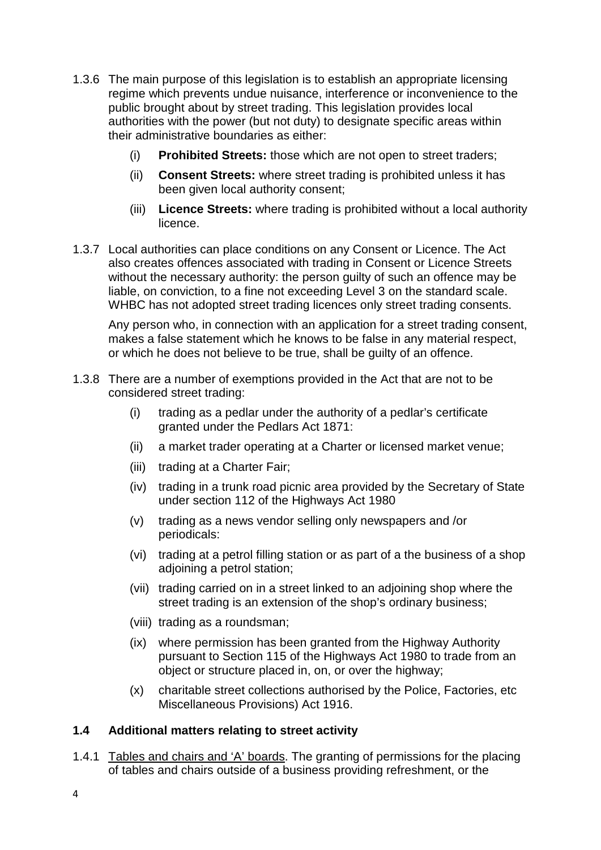- 1.3.6 The main purpose of this legislation is to establish an appropriate licensing regime which prevents undue nuisance, interference or inconvenience to the public brought about by street trading. This legislation provides local authorities with the power (but not duty) to designate specific areas within their administrative boundaries as either:
	- (i) **Prohibited Streets:** those which are not open to street traders;
	- (ii) **Consent Streets:** where street trading is prohibited unless it has been given local authority consent;
	- (iii) **Licence Streets:** where trading is prohibited without a local authority licence.
- 1.3.7 Local authorities can place conditions on any Consent or Licence. The Act also creates offences associated with trading in Consent or Licence Streets without the necessary authority: the person guilty of such an offence may be liable, on conviction, to a fine not exceeding Level 3 on the standard scale. WHBC has not adopted street trading licences only street trading consents.

Any person who, in connection with an application for a street trading consent, makes a false statement which he knows to be false in any material respect, or which he does not believe to be true, shall be guilty of an offence.

- 1.3.8 There are a number of exemptions provided in the Act that are not to be considered street trading:
	- (i) trading as a pedlar under the authority of a pedlar's certificate granted under the Pedlars Act 1871:
	- (ii) a market trader operating at a Charter or licensed market venue;
	- (iii) trading at a Charter Fair;
	- (iv) trading in a trunk road picnic area provided by the Secretary of State under section 112 of the Highways Act 1980
	- (v) trading as a news vendor selling only newspapers and /or periodicals:
	- (vi) trading at a petrol filling station or as part of a the business of a shop adjoining a petrol station;
	- (vii) trading carried on in a street linked to an adjoining shop where the street trading is an extension of the shop's ordinary business;
	- (viii) trading as a roundsman;
	- (ix) where permission has been granted from the Highway Authority pursuant to Section 115 of the Highways Act 1980 to trade from an object or structure placed in, on, or over the highway;
	- (x) charitable street collections authorised by the Police, Factories, etc Miscellaneous Provisions) Act 1916.

#### **1.4 Additional matters relating to street activity**

1.4.1 Tables and chairs and 'A' boards. The granting of permissions for the placing of tables and chairs outside of a business providing refreshment, or the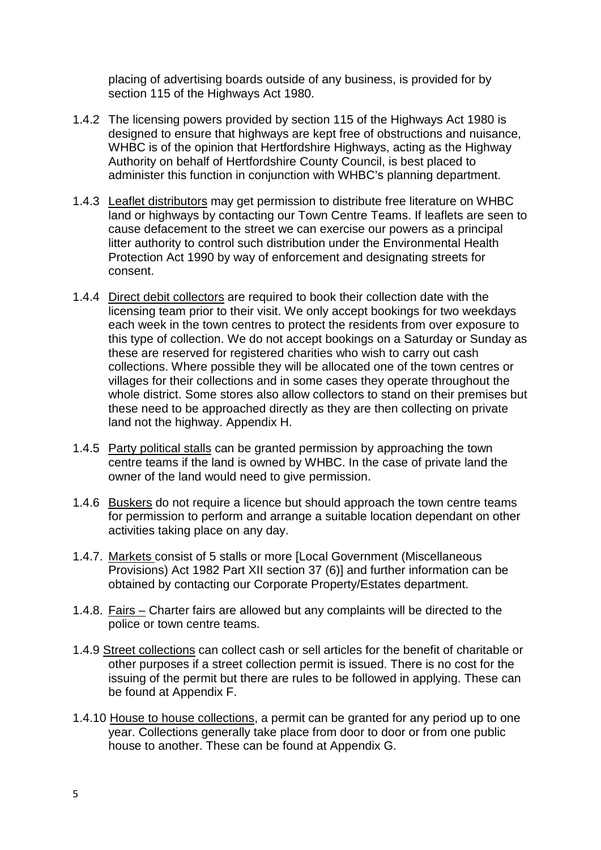placing of advertising boards outside of any business, is provided for by section 115 of the Highways Act 1980.

- 1.4.2 The licensing powers provided by section 115 of the Highways Act 1980 is designed to ensure that highways are kept free of obstructions and nuisance, WHBC is of the opinion that Hertfordshire Highways, acting as the Highway Authority on behalf of Hertfordshire County Council, is best placed to administer this function in conjunction with WHBC's planning department.
- 1.4.3 Leaflet distributors may get permission to distribute free literature on WHBC land or highways by contacting our Town Centre Teams. If leaflets are seen to cause defacement to the street we can exercise our powers as a principal litter authority to control such distribution under the Environmental Health Protection Act 1990 by way of enforcement and designating streets for consent.
- 1.4.4 Direct debit collectors are required to book their collection date with the licensing team prior to their visit. We only accept bookings for two weekdays each week in the town centres to protect the residents from over exposure to this type of collection. We do not accept bookings on a Saturday or Sunday as these are reserved for registered charities who wish to carry out cash collections. Where possible they will be allocated one of the town centres or villages for their collections and in some cases they operate throughout the whole district. Some stores also allow collectors to stand on their premises but these need to be approached directly as they are then collecting on private land not the highway. Appendix H.
- 1.4.5 Party political stalls can be granted permission by approaching the town centre teams if the land is owned by WHBC. In the case of private land the owner of the land would need to give permission.
- 1.4.6 Buskers do not require a licence but should approach the town centre teams for permission to perform and arrange a suitable location dependant on other activities taking place on any day.
- 1.4.7. Markets consist of 5 stalls or more [Local Government (Miscellaneous Provisions) Act 1982 Part XII section 37 (6)] and further information can be obtained by contacting our Corporate Property/Estates department.
- 1.4.8. Fairs Charter fairs are allowed but any complaints will be directed to the police or town centre teams.
- 1.4.9 Street collections can collect cash or sell articles for the benefit of charitable or other purposes if a street collection permit is issued. There is no cost for the issuing of the permit but there are rules to be followed in applying. These can be found at Appendix F.
- 1.4.10 House to house collections, a permit can be granted for any period up to one year. Collections generally take place from door to door or from one public house to another. These can be found at Appendix G.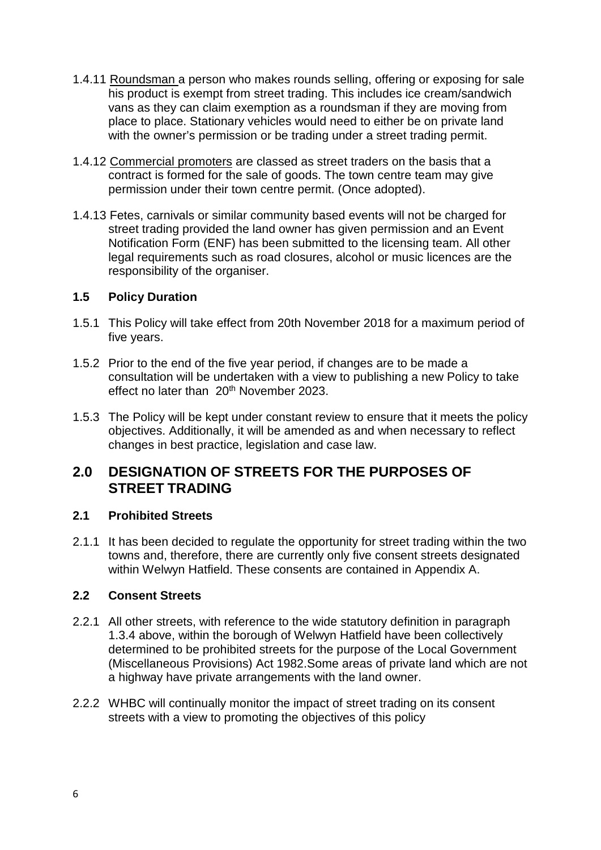- 1.4.11 Roundsman a person who makes rounds selling, offering or exposing for sale his product is exempt from street trading. This includes ice cream/sandwich vans as they can claim exemption as a roundsman if they are moving from place to place. Stationary vehicles would need to either be on private land with the owner's permission or be trading under a street trading permit.
- 1.4.12 Commercial promoters are classed as street traders on the basis that a contract is formed for the sale of goods. The town centre team may give permission under their town centre permit. (Once adopted).
- 1.4.13 Fetes, carnivals or similar community based events will not be charged for street trading provided the land owner has given permission and an Event Notification Form (ENF) has been submitted to the licensing team. All other legal requirements such as road closures, alcohol or music licences are the responsibility of the organiser.

#### **1.5 Policy Duration**

- 1.5.1 This Policy will take effect from 20th November 2018 for a maximum period of five years.
- 1.5.2 Prior to the end of the five year period, if changes are to be made a consultation will be undertaken with a view to publishing a new Policy to take effect no later than 20<sup>th</sup> November 2023.
- 1.5.3 The Policy will be kept under constant review to ensure that it meets the policy objectives. Additionally, it will be amended as and when necessary to reflect changes in best practice, legislation and case law.

## **2.0 DESIGNATION OF STREETS FOR THE PURPOSES OF STREET TRADING**

#### **2.1 Prohibited Streets**

2.1.1 It has been decided to regulate the opportunity for street trading within the two towns and, therefore, there are currently only five consent streets designated within Welwyn Hatfield. These consents are contained in Appendix A.

#### **2.2 Consent Streets**

- 2.2.1 All other streets, with reference to the wide statutory definition in paragraph 1.3.4 above, within the borough of Welwyn Hatfield have been collectively determined to be prohibited streets for the purpose of the Local Government (Miscellaneous Provisions) Act 1982.Some areas of private land which are not a highway have private arrangements with the land owner.
- 2.2.2 WHBC will continually monitor the impact of street trading on its consent streets with a view to promoting the objectives of this policy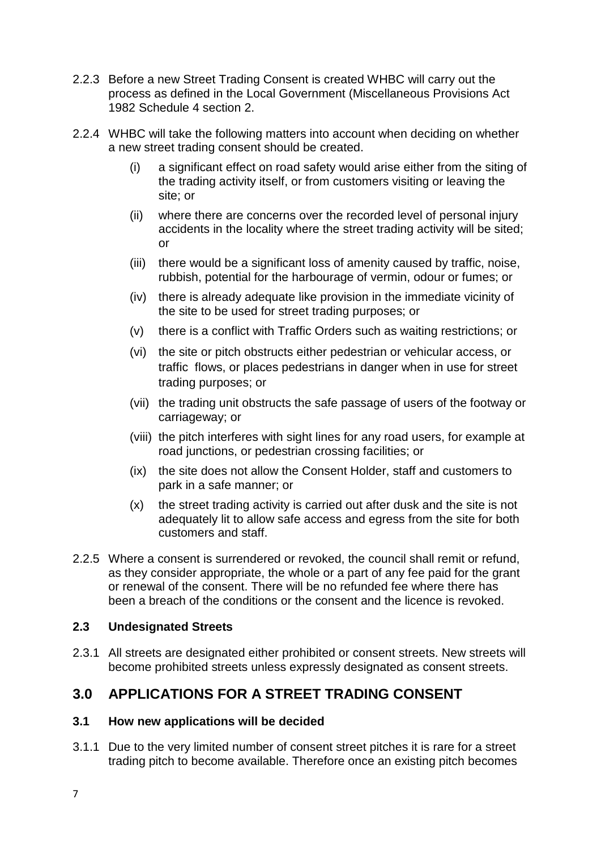- 2.2.3 Before a new Street Trading Consent is created WHBC will carry out the process as defined in the Local Government (Miscellaneous Provisions Act 1982 Schedule 4 section 2.
- 2.2.4 WHBC will take the following matters into account when deciding on whether a new street trading consent should be created.
	- (i) a significant effect on road safety would arise either from the siting of the trading activity itself, or from customers visiting or leaving the site; or
	- (ii) where there are concerns over the recorded level of personal injury accidents in the locality where the street trading activity will be sited; or
	- (iii) there would be a significant loss of amenity caused by traffic, noise, rubbish, potential for the harbourage of vermin, odour or fumes; or
	- (iv) there is already adequate like provision in the immediate vicinity of the site to be used for street trading purposes; or
	- (v) there is a conflict with Traffic Orders such as waiting restrictions; or
	- (vi) the site or pitch obstructs either pedestrian or vehicular access, or traffic flows, or places pedestrians in danger when in use for street trading purposes; or
	- (vii) the trading unit obstructs the safe passage of users of the footway or carriageway; or
	- (viii) the pitch interferes with sight lines for any road users, for example at road junctions, or pedestrian crossing facilities; or
	- (ix) the site does not allow the Consent Holder, staff and customers to park in a safe manner; or
	- (x) the street trading activity is carried out after dusk and the site is not adequately lit to allow safe access and egress from the site for both customers and staff.
- 2.2.5 Where a consent is surrendered or revoked, the council shall remit or refund, as they consider appropriate, the whole or a part of any fee paid for the grant or renewal of the consent. There will be no refunded fee where there has been a breach of the conditions or the consent and the licence is revoked.

#### **2.3 Undesignated Streets**

2.3.1 All streets are designated either prohibited or consent streets. New streets will become prohibited streets unless expressly designated as consent streets.

## **3.0 APPLICATIONS FOR A STREET TRADING CONSENT**

#### **3.1 How new applications will be decided**

3.1.1 Due to the very limited number of consent street pitches it is rare for a street trading pitch to become available. Therefore once an existing pitch becomes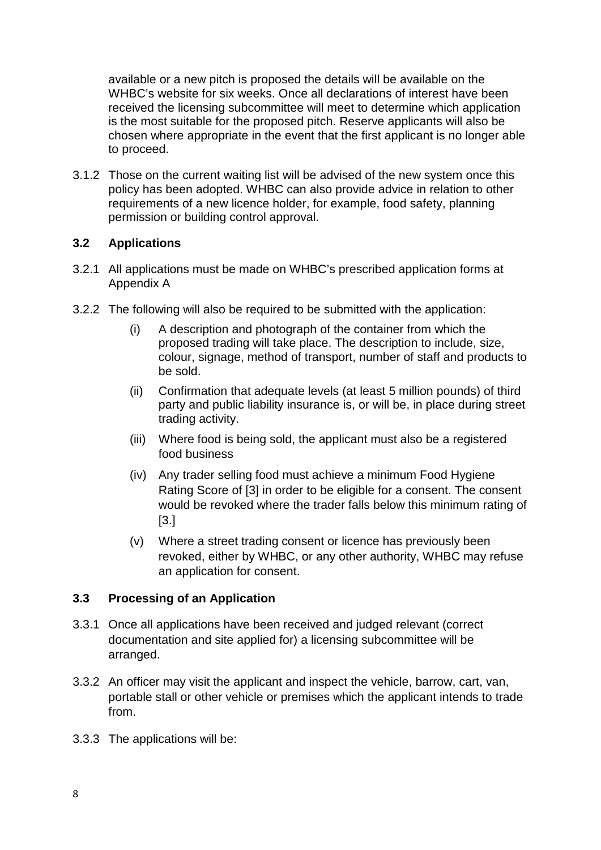available or a new pitch is proposed the details will be available on the WHBC's website for six weeks. Once all declarations of interest have been received the licensing subcommittee will meet to determine which application is the most suitable for the proposed pitch. Reserve applicants will also be chosen where appropriate in the event that the first applicant is no longer able to proceed.

3.1.2 Those on the current waiting list will be advised of the new system once this policy has been adopted. WHBC can also provide advice in relation to other requirements of a new licence holder, for example, food safety, planning permission or building control approval.

### **3.2 Applications**

- 3.2.1 All applications must be made on WHBC's prescribed application forms at Appendix A
- 3.2.2 The following will also be required to be submitted with the application:
	- (i) A description and photograph of the container from which the proposed trading will take place. The description to include, size, colour, signage, method of transport, number of staff and products to be sold.
	- (ii) Confirmation that adequate levels (at least 5 million pounds) of third party and public liability insurance is, or will be, in place during street trading activity.
	- (iii) Where food is being sold, the applicant must also be a registered food business
	- (iv) Any trader selling food must achieve a minimum Food Hygiene Rating Score of [3] in order to be eligible for a consent. The consent would be revoked where the trader falls below this minimum rating of [3.]
	- (v) Where a street trading consent or licence has previously been revoked, either by WHBC, or any other authority, WHBC may refuse an application for consent.

#### **3.3 Processing of an Application**

- 3.3.1 Once all applications have been received and judged relevant (correct documentation and site applied for) a licensing subcommittee will be arranged.
- 3.3.2 An officer may visit the applicant and inspect the vehicle, barrow, cart, van, portable stall or other vehicle or premises which the applicant intends to trade from.
- 3.3.3 The applications will be: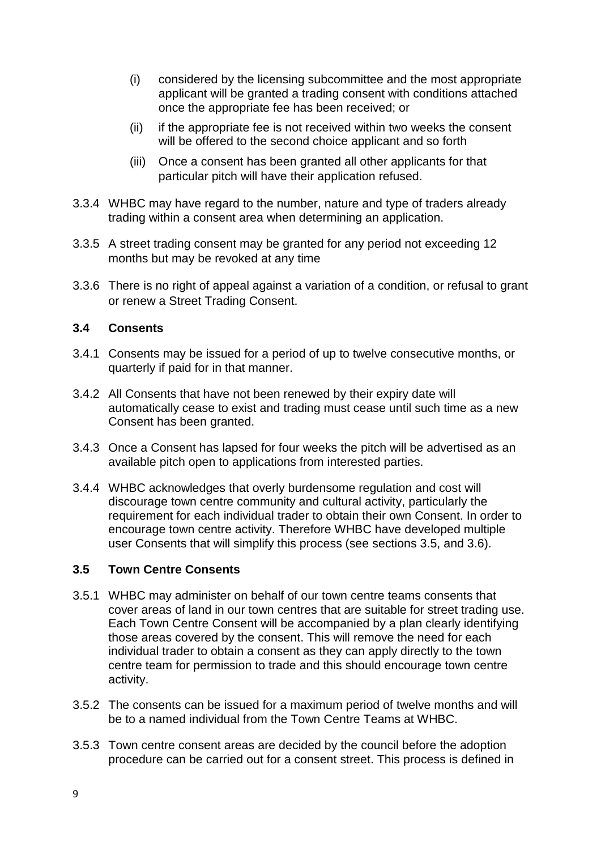- (i) considered by the licensing subcommittee and the most appropriate applicant will be granted a trading consent with conditions attached once the appropriate fee has been received; or
- (ii) if the appropriate fee is not received within two weeks the consent will be offered to the second choice applicant and so forth
- (iii) Once a consent has been granted all other applicants for that particular pitch will have their application refused.
- 3.3.4 WHBC may have regard to the number, nature and type of traders already trading within a consent area when determining an application.
- 3.3.5 A street trading consent may be granted for any period not exceeding 12 months but may be revoked at any time
- 3.3.6 There is no right of appeal against a variation of a condition, or refusal to grant or renew a Street Trading Consent.

#### **3.4 Consents**

- 3.4.1 Consents may be issued for a period of up to twelve consecutive months, or quarterly if paid for in that manner.
- 3.4.2 All Consents that have not been renewed by their expiry date will automatically cease to exist and trading must cease until such time as a new Consent has been granted.
- 3.4.3 Once a Consent has lapsed for four weeks the pitch will be advertised as an available pitch open to applications from interested parties.
- 3.4.4 WHBC acknowledges that overly burdensome regulation and cost will discourage town centre community and cultural activity, particularly the requirement for each individual trader to obtain their own Consent. In order to encourage town centre activity. Therefore WHBC have developed multiple user Consents that will simplify this process (see sections 3.5, and 3.6).

#### **3.5 Town Centre Consents**

- 3.5.1 WHBC may administer on behalf of our town centre teams consents that cover areas of land in our town centres that are suitable for street trading use. Each Town Centre Consent will be accompanied by a plan clearly identifying those areas covered by the consent. This will remove the need for each individual trader to obtain a consent as they can apply directly to the town centre team for permission to trade and this should encourage town centre activity.
- 3.5.2 The consents can be issued for a maximum period of twelve months and will be to a named individual from the Town Centre Teams at WHBC.
- 3.5.3 Town centre consent areas are decided by the council before the adoption procedure can be carried out for a consent street. This process is defined in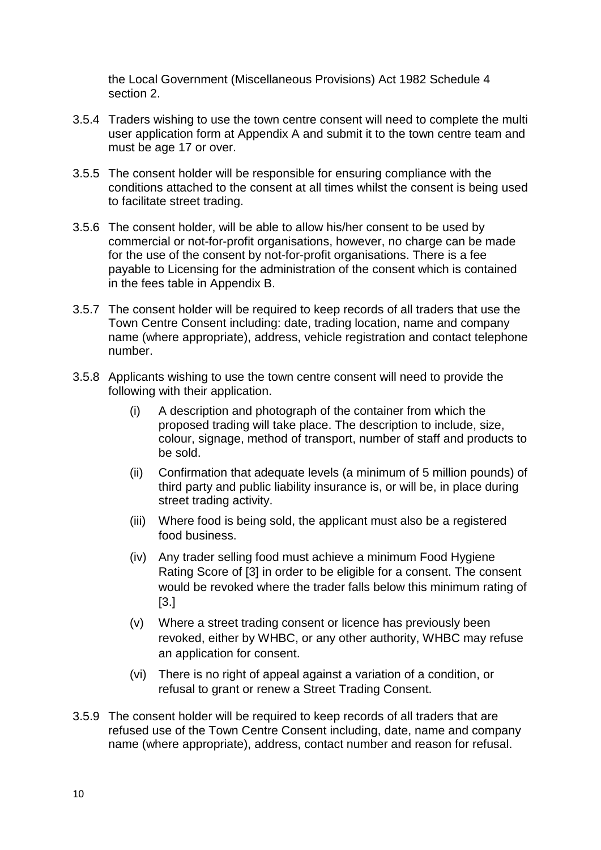the Local Government (Miscellaneous Provisions) Act 1982 Schedule 4 section 2.

- 3.5.4 Traders wishing to use the town centre consent will need to complete the multi user application form at Appendix A and submit it to the town centre team and must be age 17 or over.
- 3.5.5 The consent holder will be responsible for ensuring compliance with the conditions attached to the consent at all times whilst the consent is being used to facilitate street trading.
- 3.5.6 The consent holder, will be able to allow his/her consent to be used by commercial or not-for-profit organisations, however, no charge can be made for the use of the consent by not-for-profit organisations. There is a fee payable to Licensing for the administration of the consent which is contained in the fees table in Appendix B.
- 3.5.7 The consent holder will be required to keep records of all traders that use the Town Centre Consent including: date, trading location, name and company name (where appropriate), address, vehicle registration and contact telephone number.
- 3.5.8 Applicants wishing to use the town centre consent will need to provide the following with their application.
	- (i) A description and photograph of the container from which the proposed trading will take place. The description to include, size, colour, signage, method of transport, number of staff and products to be sold.
	- (ii) Confirmation that adequate levels (a minimum of 5 million pounds) of third party and public liability insurance is, or will be, in place during street trading activity.
	- (iii) Where food is being sold, the applicant must also be a registered food business.
	- (iv) Any trader selling food must achieve a minimum Food Hygiene Rating Score of [3] in order to be eligible for a consent. The consent would be revoked where the trader falls below this minimum rating of [3.]
	- (v) Where a street trading consent or licence has previously been revoked, either by WHBC, or any other authority, WHBC may refuse an application for consent.
	- (vi) There is no right of appeal against a variation of a condition, or refusal to grant or renew a Street Trading Consent.
- 3.5.9 The consent holder will be required to keep records of all traders that are refused use of the Town Centre Consent including, date, name and company name (where appropriate), address, contact number and reason for refusal.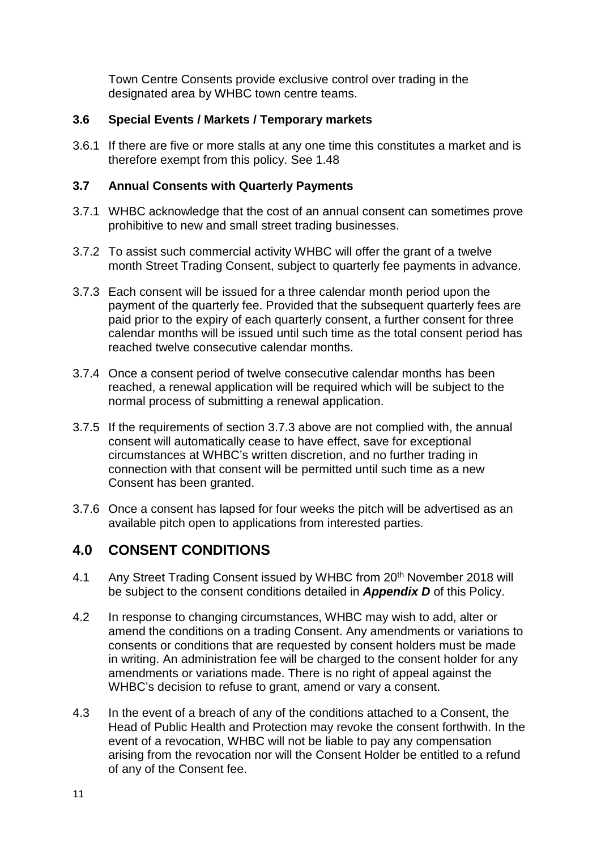Town Centre Consents provide exclusive control over trading in the designated area by WHBC town centre teams.

### **3.6 Special Events / Markets / Temporary markets**

3.6.1 If there are five or more stalls at any one time this constitutes a market and is therefore exempt from this policy. See 1.48

### **3.7 Annual Consents with Quarterly Payments**

- 3.7.1 WHBC acknowledge that the cost of an annual consent can sometimes prove prohibitive to new and small street trading businesses.
- 3.7.2 To assist such commercial activity WHBC will offer the grant of a twelve month Street Trading Consent, subject to quarterly fee payments in advance.
- 3.7.3 Each consent will be issued for a three calendar month period upon the payment of the quarterly fee. Provided that the subsequent quarterly fees are paid prior to the expiry of each quarterly consent, a further consent for three calendar months will be issued until such time as the total consent period has reached twelve consecutive calendar months.
- 3.7.4 Once a consent period of twelve consecutive calendar months has been reached, a renewal application will be required which will be subject to the normal process of submitting a renewal application.
- 3.7.5 If the requirements of section 3.7.3 above are not complied with, the annual consent will automatically cease to have effect, save for exceptional circumstances at WHBC's written discretion, and no further trading in connection with that consent will be permitted until such time as a new Consent has been granted.
- 3.7.6 Once a consent has lapsed for four weeks the pitch will be advertised as an available pitch open to applications from interested parties.

## **4.0 CONSENT CONDITIONS**

- 4.1 Any Street Trading Consent issued by WHBC from 20<sup>th</sup> November 2018 will be subject to the consent conditions detailed in *Appendix D* of this Policy.
- 4.2 In response to changing circumstances, WHBC may wish to add, alter or amend the conditions on a trading Consent. Any amendments or variations to consents or conditions that are requested by consent holders must be made in writing. An administration fee will be charged to the consent holder for any amendments or variations made. There is no right of appeal against the WHBC's decision to refuse to grant, amend or vary a consent.
- 4.3 In the event of a breach of any of the conditions attached to a Consent, the Head of Public Health and Protection may revoke the consent forthwith. In the event of a revocation, WHBC will not be liable to pay any compensation arising from the revocation nor will the Consent Holder be entitled to a refund of any of the Consent fee.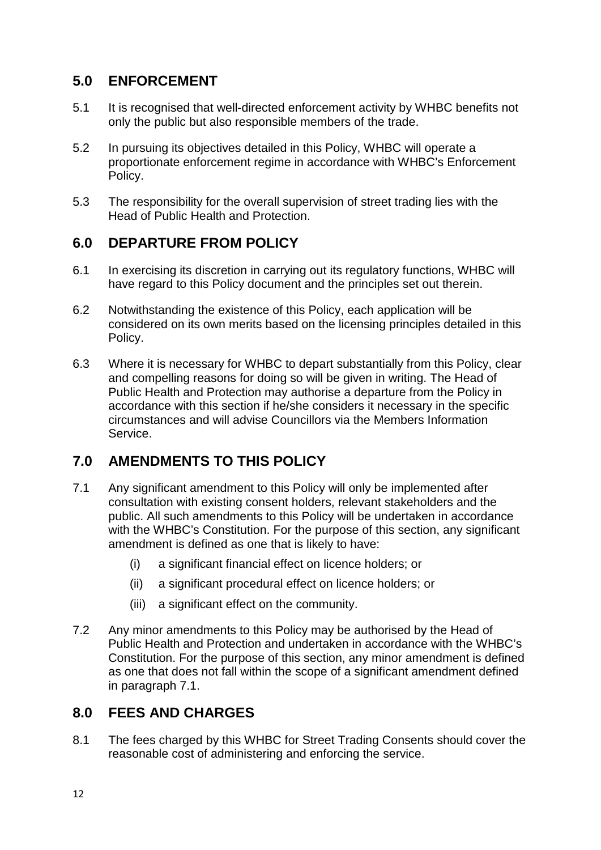# **5.0 ENFORCEMENT**

- 5.1 It is recognised that well-directed enforcement activity by WHBC benefits not only the public but also responsible members of the trade.
- 5.2 In pursuing its objectives detailed in this Policy, WHBC will operate a proportionate enforcement regime in accordance with WHBC's Enforcement Policy.
- 5.3 The responsibility for the overall supervision of street trading lies with the Head of Public Health and Protection.

# **6.0 DEPARTURE FROM POLICY**

- 6.1 In exercising its discretion in carrying out its regulatory functions, WHBC will have regard to this Policy document and the principles set out therein.
- 6.2 Notwithstanding the existence of this Policy, each application will be considered on its own merits based on the licensing principles detailed in this Policy.
- 6.3 Where it is necessary for WHBC to depart substantially from this Policy, clear and compelling reasons for doing so will be given in writing. The Head of Public Health and Protection may authorise a departure from the Policy in accordance with this section if he/she considers it necessary in the specific circumstances and will advise Councillors via the Members Information Service.

# **7.0 AMENDMENTS TO THIS POLICY**

- 7.1 Any significant amendment to this Policy will only be implemented after consultation with existing consent holders, relevant stakeholders and the public. All such amendments to this Policy will be undertaken in accordance with the WHBC's Constitution. For the purpose of this section, any significant amendment is defined as one that is likely to have:
	- (i) a significant financial effect on licence holders; or
	- (ii) a significant procedural effect on licence holders; or
	- (iii) a significant effect on the community.
- 7.2 Any minor amendments to this Policy may be authorised by the Head of Public Health and Protection and undertaken in accordance with the WHBC's Constitution. For the purpose of this section, any minor amendment is defined as one that does not fall within the scope of a significant amendment defined in paragraph 7.1.

# **8.0 FEES AND CHARGES**

8.1 The fees charged by this WHBC for Street Trading Consents should cover the reasonable cost of administering and enforcing the service.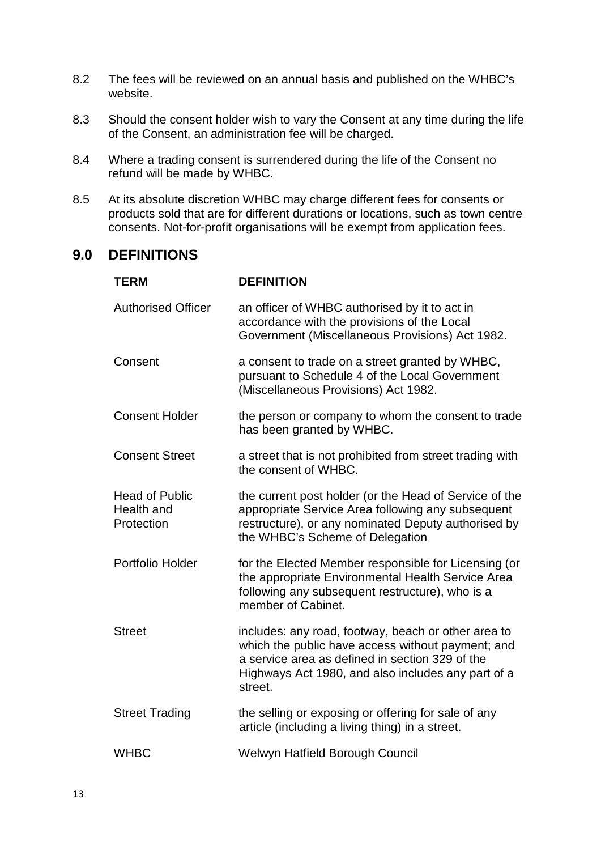- 8.2 The fees will be reviewed on an annual basis and published on the WHBC's website.
- 8.3 Should the consent holder wish to vary the Consent at any time during the life of the Consent, an administration fee will be charged.
- 8.4 Where a trading consent is surrendered during the life of the Consent no refund will be made by WHBC.
- 8.5 At its absolute discretion WHBC may charge different fees for consents or products sold that are for different durations or locations, such as town centre consents. Not-for-profit organisations will be exempt from application fees.

### **9.0 DEFINITIONS**

| <b>TERM</b>                                       | <b>DEFINITION</b>                                                                                                                                                                                                            |
|---------------------------------------------------|------------------------------------------------------------------------------------------------------------------------------------------------------------------------------------------------------------------------------|
| <b>Authorised Officer</b>                         | an officer of WHBC authorised by it to act in<br>accordance with the provisions of the Local<br>Government (Miscellaneous Provisions) Act 1982.                                                                              |
| Consent                                           | a consent to trade on a street granted by WHBC,<br>pursuant to Schedule 4 of the Local Government<br>(Miscellaneous Provisions) Act 1982.                                                                                    |
| <b>Consent Holder</b>                             | the person or company to whom the consent to trade<br>has been granted by WHBC.                                                                                                                                              |
| <b>Consent Street</b>                             | a street that is not prohibited from street trading with<br>the consent of WHBC.                                                                                                                                             |
| <b>Head of Public</b><br>Health and<br>Protection | the current post holder (or the Head of Service of the<br>appropriate Service Area following any subsequent<br>restructure), or any nominated Deputy authorised by<br>the WHBC's Scheme of Delegation                        |
| Portfolio Holder                                  | for the Elected Member responsible for Licensing (or<br>the appropriate Environmental Health Service Area<br>following any subsequent restructure), who is a<br>member of Cabinet.                                           |
| <b>Street</b>                                     | includes: any road, footway, beach or other area to<br>which the public have access without payment; and<br>a service area as defined in section 329 of the<br>Highways Act 1980, and also includes any part of a<br>street. |
| <b>Street Trading</b>                             | the selling or exposing or offering for sale of any<br>article (including a living thing) in a street.                                                                                                                       |
| <b>WHBC</b>                                       | Welwyn Hatfield Borough Council                                                                                                                                                                                              |